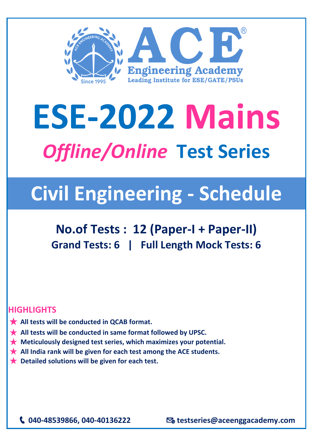

# **ESE-2022 Mains** *Offline/Online* **Test Series**

# **Civil Engineering - Schedule**

## **No.of Tests : 12 (Paper-I + Paper-II) Grand Tests: 6 | Full Length Mock Tests: 6**

#### **HIGHLIGHTS**

- ★ **All tests will be conducted in QCAB format.**
- ★ **All tests will be conducted in same format followed by UPSC.**
- ★ **Meticulously designed test series, which maximizes your potential.**
- ★ **All India rank will be given for each test among the ACE students.**
- ★ **Detailed solutions will be given for each test.**

**040-48539866, 040-40136222 testseries@aceenggacademy.com**